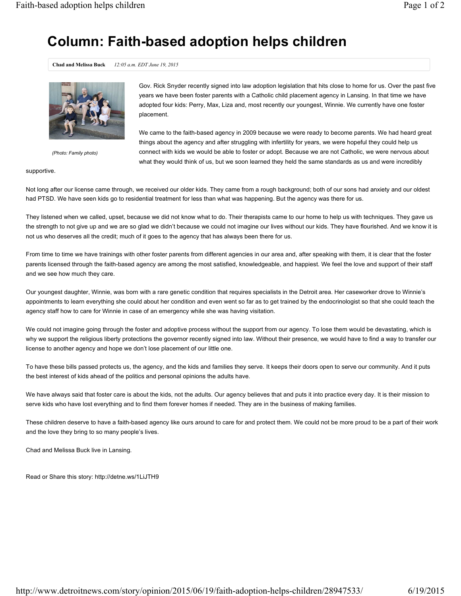## **Column: Faith-based adoption helps children**

**Chad and Melissa Buck** *12:05 a.m. EDT June 19, 2015*



*(Photo: Family photo)*

Gov. Rick Snyder recently signed into law adoption legislation that hits close to home for us. Over the past five years we have been foster parents with a Catholic child placement agency in Lansing. In that time we have adopted four kids: Perry, Max, Liza and, most recently our youngest, Winnie. We currently have one foster placement.

We came to the faith-based agency in 2009 because we were ready to become parents. We had heard great things about the agency and after struggling with infertility for years, we were hopeful they could help us connect with kids we would be able to foster or adopt. Because we are not Catholic, we were nervous about what they would think of us, but we soon learned they held the same standards as us and were incredibly

supportive.

Not long after our license came through, we received our older kids. They came from a rough background; both of our sons had anxiety and our oldest had PTSD. We have seen kids go to residential treatment for less than what was happening. But the agency was there for us.

They listened when we called, upset, because we did not know what to do. Their therapists came to our home to help us with techniques. They gave us the strength to not give up and we are so glad we didn't because we could not imagine our lives without our kids. They have flourished. And we know it is not us who deserves all the credit; much of it goes to the agency that has always been there for us.

From time to time we have trainings with other foster parents from different agencies in our area and, after speaking with them, it is clear that the foster parents licensed through the faith-based agency are among the most satisfied, knowledgeable, and happiest. We feel the love and support of their staff and we see how much they care.

Our youngest daughter, Winnie, was born with a rare genetic condition that requires specialists in the Detroit area. Her caseworker drove to Winnie's appointments to learn everything she could about her condition and even went so far as to get trained by the endocrinologist so that she could teach the agency staff how to care for Winnie in case of an emergency while she was having visitation.

We could not imagine going through the foster and adoptive process without the support from our agency. To lose them would be devastating, which is why we support the religious liberty protections the governor recently signed into law. Without their presence, we would have to find a way to transfer our license to another agency and hope we don't lose placement of our little one.

To have these bills passed protects us, the agency, and the kids and families they serve. It keeps their doors open to serve our community. And it puts the best interest of kids ahead of the politics and personal opinions the adults have.

We have always said that foster care is about the kids, not the adults. Our agency believes that and puts it into practice every day. It is their mission to serve kids who have lost everything and to find them forever homes if needed. They are in the business of making families.

These children deserve to have a faith-based agency like ours around to care for and protect them. We could not be more proud to be a part of their work and the love they bring to so many people's lives.

Chad and Melissa Buck live in Lansing.

Read or Share this story: http://detne.ws/1LiJTH9